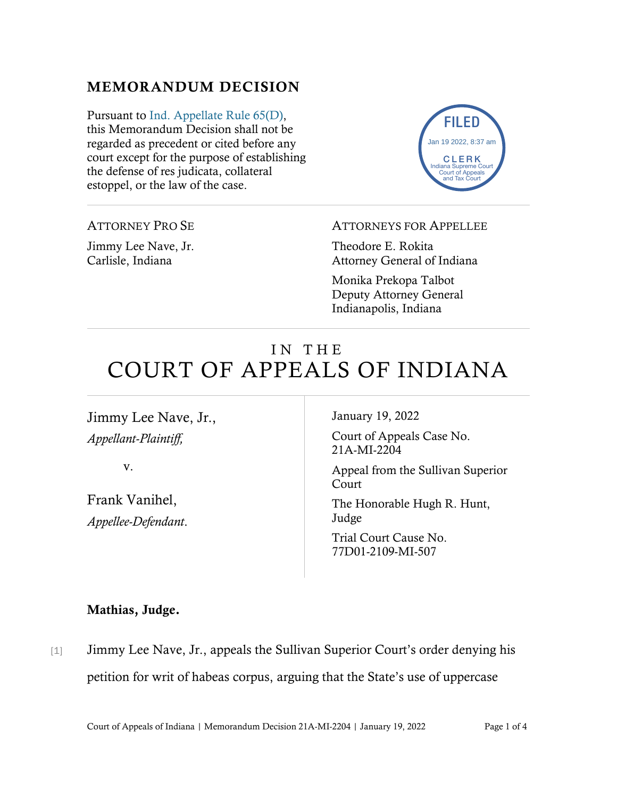## MEMORANDUM DECISION

Pursuant to [Ind. Appellate Rule 65\(D\),](https://www.westlaw.com/Document/N9F7F97E10B2B11EAB3BAC09E1BEAB78F/View/FullText.html?transitionType=Default&contextData=(sc.Default)&VR=3.0&RS=da3.0) this Memorandum Decision shall not be regarded as precedent or cited before any court except for the purpose of establishing the defense of res judicata, collateral estoppel, or the law of the case.



ATTORNEY PRO SE

Jimmy Lee Nave, Jr. Carlisle, Indiana

ATTORNEYS FOR APPELLEE

Theodore E. Rokita Attorney General of Indiana

Monika Prekopa Talbot Deputy Attorney General Indianapolis, Indiana

# IN THE COURT OF APPEALS OF INDIANA

Jimmy Lee Nave, Jr., *Appellant-Plaintiff,*

v.

Frank Vanihel, *Appellee-Defendant*. January 19, 2022

Court of Appeals Case No. 21A-MI-2204

Appeal from the Sullivan Superior Court

The Honorable Hugh R. Hunt, Judge

Trial Court Cause No. 77D01-2109-MI-507

#### Mathias, Judge.

[1] Jimmy Lee Nave, Jr., appeals the Sullivan Superior Court's order denying his petition for writ of habeas corpus, arguing that the State's use of uppercase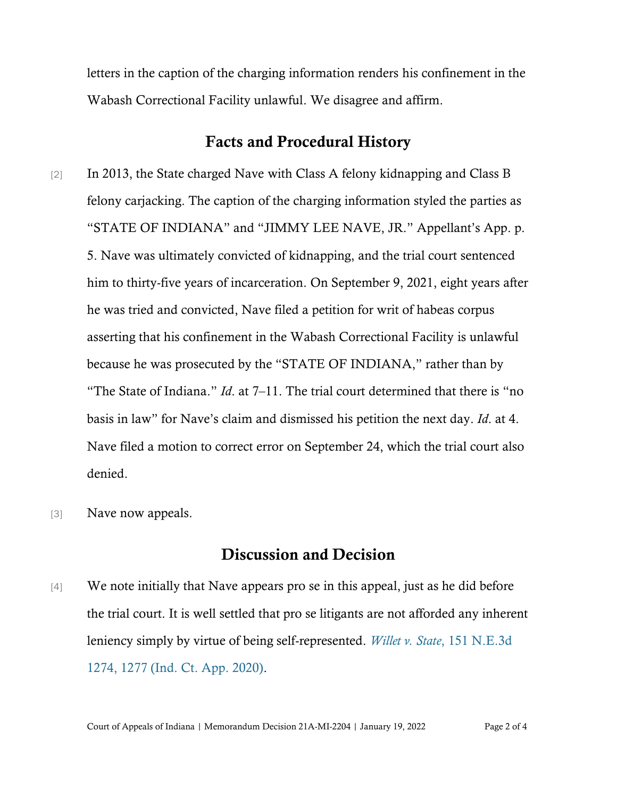letters in the caption of the charging information renders his confinement in the Wabash Correctional Facility unlawful. We disagree and affirm.

#### Facts and Procedural History

- [2] In 2013, the State charged Nave with Class A felony kidnapping and Class B felony carjacking. The caption of the charging information styled the parties as "STATE OF INDIANA" and "JIMMY LEE NAVE, JR." Appellant's App. p. 5. Nave was ultimately convicted of kidnapping, and the trial court sentenced him to thirty-five years of incarceration. On September 9, 2021, eight years after he was tried and convicted, Nave filed a petition for writ of habeas corpus asserting that his confinement in the Wabash Correctional Facility is unlawful because he was prosecuted by the "STATE OF INDIANA," rather than by "The State of Indiana." *Id*. at 7–11. The trial court determined that there is "no basis in law" for Nave's claim and dismissed his petition the next day. *Id*. at 4. Nave filed a motion to correct error on September 24, which the trial court also denied.
- [3] Nave now appeals.

#### Discussion and Decision

 $[4]$  We note initially that Nave appears pro se in this appeal, just as he did before the trial court. It is well settled that pro se litigants are not afforded any inherent leniency simply by virtue of being self-represented. *Willet v. State*[, 151 N.E.3d](https://www.westlaw.com/Document/I6742f9c0d36d11ea8fcf98c4a297e5e3/View/FullText.html?transitionType=Default&contextData=(sc.Default)&VR=3.0&RS=da3.0&fragmentIdentifier=co_pp_sp_7902_1277)  [1274, 1277 \(Ind. Ct. App. 2020\).](https://www.westlaw.com/Document/I6742f9c0d36d11ea8fcf98c4a297e5e3/View/FullText.html?transitionType=Default&contextData=(sc.Default)&VR=3.0&RS=da3.0&fragmentIdentifier=co_pp_sp_7902_1277)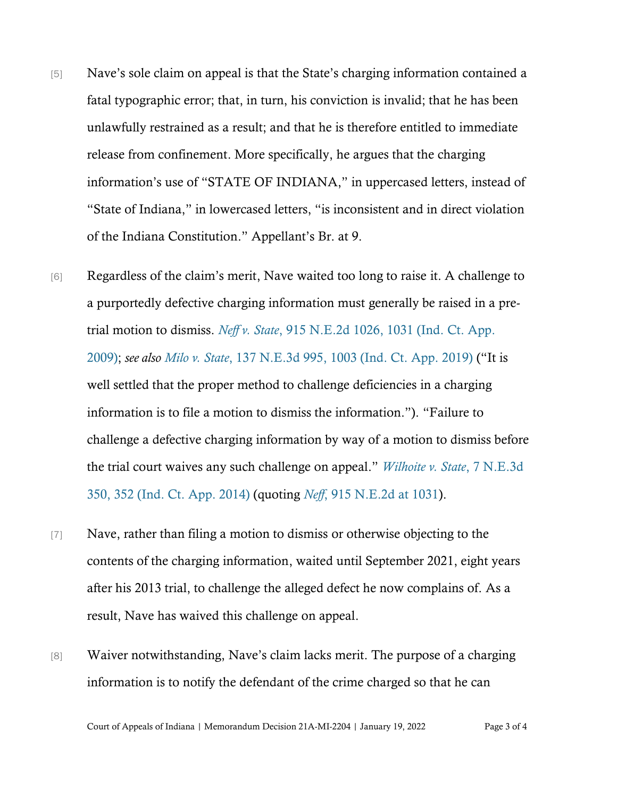- [5] Nave's sole claim on appeal is that the State's charging information contained a fatal typographic error; that, in turn, his conviction is invalid; that he has been unlawfully restrained as a result; and that he is therefore entitled to immediate release from confinement. More specifically, he argues that the charging information's use of "STATE OF INDIANA," in uppercased letters, instead of "State of Indiana," in lowercased letters, "is inconsistent and in direct violation of the Indiana Constitution." Appellant's Br. at 9.
- [6] Regardless of the claim's merit, Nave waited too long to raise it. A challenge to a purportedly defective charging information must generally be raised in a pretrial motion to dismiss. *Neff v. State*[, 915 N.E.2d 1026, 1031 \(Ind. Ct. App.](https://www.westlaw.com/Document/Ice7f5ca6c93011de9988d233d23fe599/View/FullText.html?transitionType=Default&contextData=(sc.Default)&VR=3.0&RS=da3.0&fragmentIdentifier=co_pp_sp_578_1031)  [2009\);](https://www.westlaw.com/Document/Ice7f5ca6c93011de9988d233d23fe599/View/FullText.html?transitionType=Default&contextData=(sc.Default)&VR=3.0&RS=da3.0&fragmentIdentifier=co_pp_sp_578_1031) *see also [Milo v. State](https://www.westlaw.com/Document/Iba248000179d11ea8d9494c64d4c96f1/View/FullText.html?transitionType=Default&contextData=(sc.Default)&VR=3.0&RS=da3.0&fragmentIdentifier=co_pp_sp_7902_1003)*, [137 N.E.3d 995, 1003 \(Ind. Ct. App. 2019\)](https://www.westlaw.com/Document/Iba248000179d11ea8d9494c64d4c96f1/View/FullText.html?transitionType=Default&contextData=(sc.Default)&VR=3.0&RS=da3.0&fragmentIdentifier=co_pp_sp_7902_1003) ("It is well settled that the proper method to challenge deficiencies in a charging information is to file a motion to dismiss the information."). "Failure to challenge a defective charging information by way of a motion to dismiss before the trial court waives any such challenge on appeal." *[Wilhoite v. State](https://www.westlaw.com/Document/I2aa20918cb9e11e390d4edf60ce7d742/View/FullText.html?transitionType=Default&contextData=(sc.Default)&VR=3.0&RS=da3.0&fragmentIdentifier=co_pp_sp_7902_352)*[, 7 N.E.3d](https://www.westlaw.com/Document/I2aa20918cb9e11e390d4edf60ce7d742/View/FullText.html?transitionType=Default&contextData=(sc.Default)&VR=3.0&RS=da3.0&fragmentIdentifier=co_pp_sp_7902_352)  [350, 352 \(Ind. Ct. App. 2014\)](https://www.westlaw.com/Document/I2aa20918cb9e11e390d4edf60ce7d742/View/FullText.html?transitionType=Default&contextData=(sc.Default)&VR=3.0&RS=da3.0&fragmentIdentifier=co_pp_sp_7902_352) (quoting *[Neff](https://www.westlaw.com/Document/Ice7f5ca6c93011de9988d233d23fe599/View/FullText.html?transitionType=Default&contextData=(sc.Default)&VR=3.0&RS=da3.0&fragmentIdentifier=co_pp_sp_578_1031)*[, 915 N.E.2d at 1031\)](https://www.westlaw.com/Document/Ice7f5ca6c93011de9988d233d23fe599/View/FullText.html?transitionType=Default&contextData=(sc.Default)&VR=3.0&RS=da3.0&fragmentIdentifier=co_pp_sp_578_1031).
- [7] Nave, rather than filing a motion to dismiss or otherwise objecting to the contents of the charging information, waited until September 2021, eight years after his 2013 trial, to challenge the alleged defect he now complains of. As a result, Nave has waived this challenge on appeal.
- [8] Waiver notwithstanding, Nave's claim lacks merit. The purpose of a charging information is to notify the defendant of the crime charged so that he can